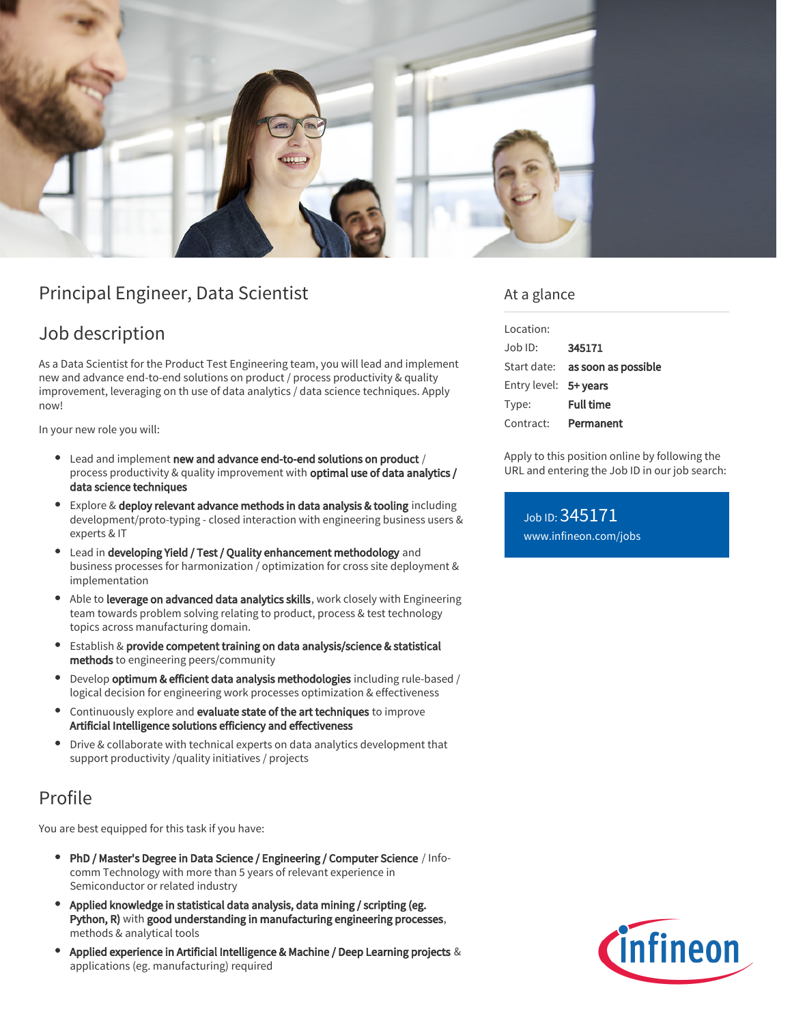

# Principal Engineer, Data Scientist

## Job description

As a Data Scientist for the Product Test Engineering team, you will lead and implement new and advance end-to-end solutions on product / process productivity & quality improvement, leveraging on th use of data analytics / data science techniques. Apply now!

In your new role you will:

- Lead and implement new and advance end-to-end solutions on product / process productivity & quality improvement with **optimal use of data analytics** / data science techniques
- Explore & deploy relevant advance methods in data analysis & tooling including development/proto-typing - closed interaction with engineering business users & experts & IT
- Lead in developing Yield / Test / Quality enhancement methodology and business processes for harmonization / optimization for cross site deployment & implementation
- Able to leverage on advanced data analytics skills, work closely with Engineering team towards problem solving relating to product, process & test technology topics across manufacturing domain.
- Establish & provide competent training on data analysis/science & statistical methods to engineering peers/community
- Develop optimum & efficient data analysis methodologies including rule-based / logical decision for engineering work processes optimization & effectiveness
- Continuously explore and evaluate state of the art techniques to improve Artificial Intelligence solutions efficiency and effectiveness
- Drive & collaborate with technical experts on data analytics development that support productivity /quality initiatives / projects

## Profile

You are best equipped for this task if you have:

- PhD / Master's Degree in Data Science / Engineering / Computer Science / Infocomm Technology with more than 5 years of relevant experience in Semiconductor or related industry
- Applied knowledge in statistical data analysis, data mining / scripting (eg. Python, R) with good understanding in manufacturing engineering processes, methods & analytical tools
- $\bullet$ Applied experience in Artificial Intelligence & Machine / Deep Learning projects & applications (eg. manufacturing) required

### At a glance

| Location:             |                                 |
|-----------------------|---------------------------------|
| $Joh$ ID:             | 345171                          |
|                       | Start date: as soon as possible |
| Entry level: 5+ years |                                 |
| Type:                 | <b>Full time</b>                |
| Contract:             | Permanent                       |

Apply to this position online by following the URL and entering the Job ID in our job search:

Job ID: 345171 [www.infineon.com/jobs](https://www.infineon.com/jobs)